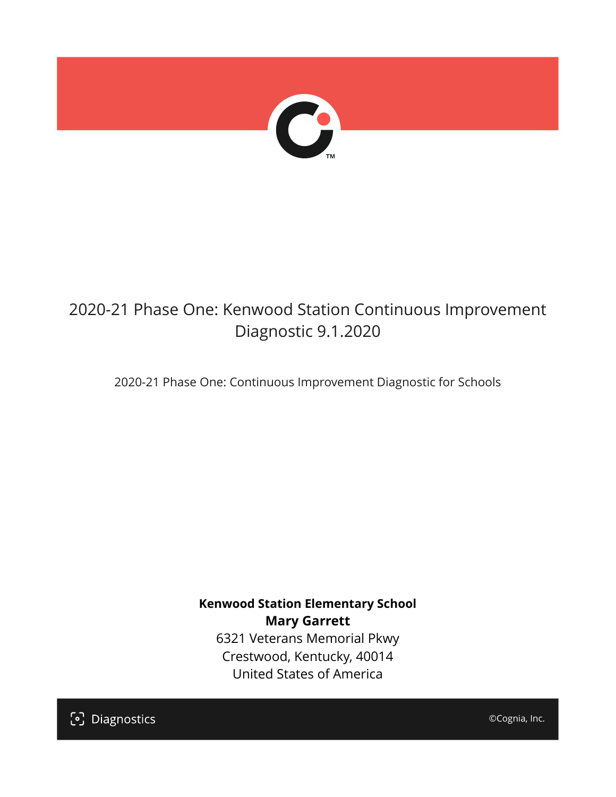

# 2020-21 Phase One: Kenwood Station Continuous Improvement Diagnostic 9.1.2020

2020-21 Phase One: Continuous Improvement Diagnostic for Schools

**Kenwood Station Elementary School Mary Garrett** 6321 Veterans Memorial Pkwy Crestwood, Kentucky, 40014 United States of America

[၁] Diagnostics

©Cognia, Inc.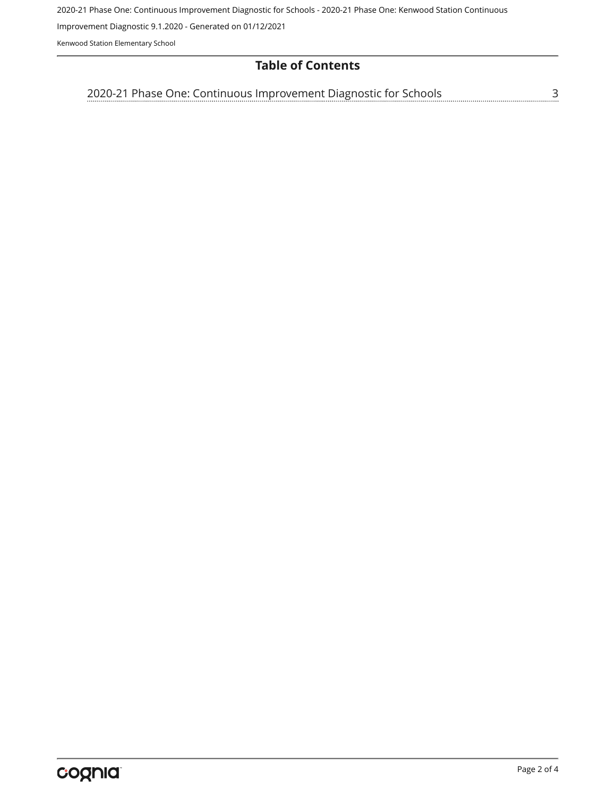2020-21 Phase One: Continuous Improvement Diagnostic for Schools - 2020-21 Phase One: Kenwood Station Continuous

Improvement Diagnostic 9.1.2020 - Generated on 01/12/2021

Kenwood Station Elementary School

### **Table of Contents**

| 2020-21 Phase One: Continuous Improvement Diagnostic for Schools |  |
|------------------------------------------------------------------|--|
|------------------------------------------------------------------|--|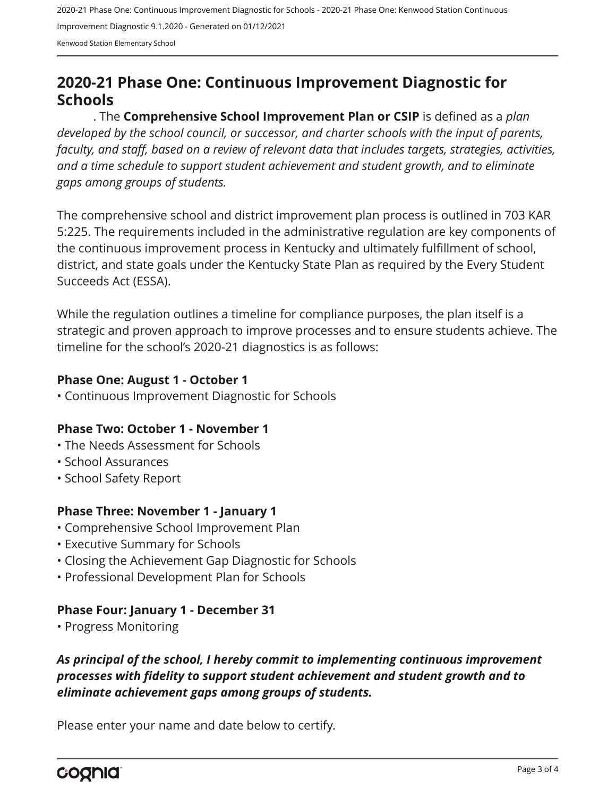2020-21 Phase One: Continuous Improvement Diagnostic for Schools - 2020-21 Phase One: Kenwood Station Continuous Improvement Diagnostic 9.1.2020 - Generated on 01/12/2021 Kenwood Station Elementary School

# <span id="page-2-0"></span>**2020-21 Phase One: Continuous Improvement Diagnostic for Schools**

. The **Comprehensive School Improvement Plan or CSIP** is defined as a *plan developed by the school council, or successor, and charter schools with the input of parents, faculty, and staff, based on a review of relevant data that includes targets, strategies, activities, and a time schedule to support student achievement and student growth, and to eliminate gaps among groups of students.*

The comprehensive school and district improvement plan process is outlined in 703 KAR 5:225. The requirements included in the administrative regulation are key components of the continuous improvement process in Kentucky and ultimately fulfillment of school, district, and state goals under the Kentucky State Plan as required by the Every Student Succeeds Act (ESSA).

While the regulation outlines a timeline for compliance purposes, the plan itself is a strategic and proven approach to improve processes and to ensure students achieve. The timeline for the school's 2020-21 diagnostics is as follows:

#### **Phase One: August 1 - October 1**

• Continuous Improvement Diagnostic for Schools

#### **Phase Two: October 1 - November 1**

- The Needs Assessment for Schools
- School Assurances
- School Safety Report

#### **Phase Three: November 1 - January 1**

- Comprehensive School Improvement Plan
- Executive Summary for Schools
- Closing the Achievement Gap Diagnostic for Schools
- Professional Development Plan for Schools

#### **Phase Four: January 1 - December 31**

• Progress Monitoring

## *As principal of the school, I hereby commit to implementing continuous improvement processes with fidelity to support student achievement and student growth and to eliminate achievement gaps among groups of students.*

Please enter your name and date below to certify.